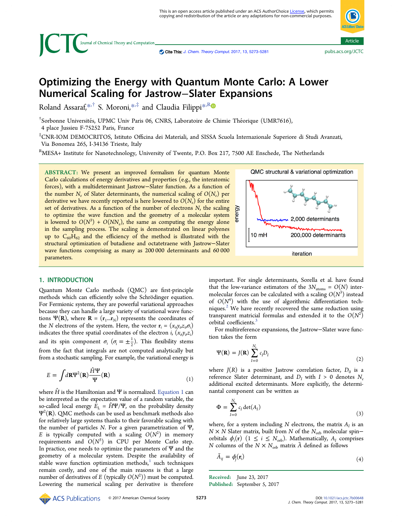<span id="page-0-0"></span>

Cite This: [J.](http://pubs.acs.org/action/showCitFormats?doi=10.1021/acs.jctc.7b00648) [Chem.](http://pubs.acs.org/action/showCitFormats?doi=10.1021/acs.jctc.7b00648) [Theory](http://pubs.acs.org/action/showCitFormats?doi=10.1021/acs.jctc.7b00648) [Comput.](http://pubs.acs.org/action/showCitFormats?doi=10.1021/acs.jctc.7b00648) [2017, 13, 5273-5281](http://pubs.acs.org/action/showCitFormats?doi=10.1021/acs.jctc.7b00648)

# Optimizing the Energy with Quantum Monte Carlo: A Lower Numerical Scaling for Jastrow−Slater Expansions

Roland Assaraf,[\\*](#page-7-0)<sup>,†</sup> S. Moroni,\*<sup>,‡</sup> and Claudia Filippi<sup>\*,[R](#page-7-0)</sup>

 $^\dagger$ Sorbonne Universités, UPMC Univ Paris 06, CNRS, Laboratoire de Chimie Théorique (UMR7616), 4 place Jussieu F-75252 Paris, France

‡ CNR-IOM DEMOCRITOS, Istituto Officina dei Materiali, and SISSA Scuola Internazionale Superiore di Studi Avanzati, Via Bonomea 265, I-34136 Trieste, Italy

<sup>R</sup>MESA+ Institute for Nanotechnology, University of Twente, P.O. Box 217, 7500 AE Enschede, The Netherlands

ABSTRACT: We present an improved formalism for quantum Monte Carlo calculations of energy derivatives and properties (e.g., the interatomic forces), with a multideterminant Jastrow−Slater function. As a function of the number  $N_e$  of Slater determinants, the numerical scaling of  $O(N_e)$  per derivative we have recently reported is here lowered to  $O(N_e)$  for the entire set of derivatives. As a function of the number of electrons  $N$ , the scaling to optimize the wave function and the geometry of a molecular system is lowered to  $O(N^3) + O(NN_e)$ , the same as computing the energy alone in the sampling process. The scaling is demonstrated on linear polyenes up to  $C_{60}H_{62}$  and the efficiency of the method is illustrated with the structural optimization of butadiene and octatetraene with Jastrow−Slater wave functions comprising as many as 200 000 determinants and 60 000 parameters.

## 1. INTRODUCTION

Quantum Monte Carlo methods (QMC) are first-principle methods which can efficiently solve the Schrö dinger equation. For Fermionic systems, they are powerful variational approaches because they can handle a large variety of variational wave functions  $\Psi(R)$ , where  $R = (r_1...r_N)$  represents the coordinates of the *N* electrons of the system. Here, the vector  $\mathbf{r}_i = (x_{ij}y_{ij}z_{ij}\sigma_i)$ indicates the three spatial coordinates of the electron  $i$ ,  $(x_{i}, y_{i}, z_{i})$ and its spin component  $\sigma_i$  ( $\sigma_i = \pm \frac{1}{2}$ ). This flexibility stems from the fact that integrals are not computed analytically but from a stochastic sampling. For example, the variational energy is

$$
E = \int d\mathbf{R} \Psi^2(\mathbf{R}) \frac{\hat{H}\Psi}{\Psi}(\mathbf{R})
$$
 (1)

where  $\hat{H}$  is the Hamiltonian and  $\Psi$  is normalized. Equation 1 can be interpreted as the expectation value of a random variable, the so-called local energy  $\hat{E}_{\rm L} = \hat{H} \Psi / \Psi$ , on the probability density  $\Psi^2({\bf R}).$  QMC methods can be used as benchmark methods also for relatively large systems thanks to their favorable scaling with the number of particles N. For a given parametrization of Ψ, E is typically computed with a scaling  $O(N^2)$  in memory requirements and  $O(N^3)$  in CPU per Monte Carlo step. In practice, one needs to optimize the parameters of  $\Psi$  and the geometry of a molecular system. Despite the availability of stable wave function optimization methods, $1$  such techniques remain costly, and one of the main reasons is that a large number of derivatives of E (typically  $O(N^2))$  must be computed. Lowering the numerical scaling per derivative is therefore



important. For single determinants, Sorella et al. have found that the low-variance estimators of the  $3N_{\text{atoms}} = O(N)$  intermolecular forces can be calculated with a scaling  $O(N^3)$  instead of  $O(N^4)$  with the use of algorithmic differentiation techniques. $2$  We have recently recovered the same reduction using transparent matricial formulas and extended it to the  $O(N^2)$ orbital coefficients.<sup>[3](#page-7-0)</sup>

For multireference expansions, the Jastrow−Slater wave function takes the form

$$
\Psi(\mathbf{R}) = J(\mathbf{R}) \sum_{I=0}^{N_c} c_I D_I
$$
\n(2)

where  $J(R)$  is a positive Jastrow correlation factor,  $D_0$  is a reference Slater determinant, and  $D_I$  with  $I > 0$  denotes  $N_e$ additional excited determinants. More explicitly, the determinantal component can be written as

$$
\Phi = \sum_{I=0}^{N_c} c_I \det(A_I) \tag{3}
$$

where, for a system including N electrons, the matrix  $A_I$  is an  $N \times N$  Slater matrix, built from N of the  $N_{\text{orb}}$  molecular spin– orbitals  $\phi_i(\mathbf{r})$   $(1 \leq i \leq N_{\text{orb}})$ . Mathematically,  $A_i$  comprises N columns of the  $N \times N_{\text{orb}}$  matrix  $\tilde{A}$  defined as follows

$$
\tilde{A}_{ij} = \phi_j(\mathbf{r}_i) \tag{4}
$$

Received: June 23, 2017 Published: September 5, 2017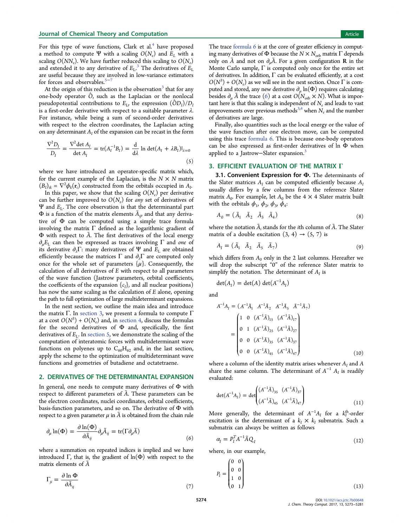<span id="page-1-0"></span>For this type of wave functions, Clark et al.<sup>[4](#page-7-0)</sup> have proposed a method to compute Ψ with a scaling  $O(N_e)$  and  $E_L$  with a scaling  $O(NN_e)$ . We have further reduced this scaling to  $O(N_e)$ and extended it to any derivative of  $E_{\rm L}$ .<sup>[3](#page-7-0)</sup> The derivatives of  $E_{\rm L}$ are useful because they are involved in low-variance estimators for forces and observables.<sup>[5](#page-7-0)−</sup>

At the origin of this reduction is the observation<sup>[3](#page-7-0)</sup> that for any one-body operator  $\hat{O}$ , such as the Laplacian or the nonlocal pseudopotential contributions to  $E_{\rm L}$ , the expression  $(\hat{O}D_{\rm I})/D_{\rm I}$ is a first-order derivative with respect to a suitable parameter  $\lambda$ . For instance, while being a sum of second-order derivatives with respect to the electron coordinates, the Laplacian acting on any determinant  $A_I$  of the expansion can be recast in the form

$$
\frac{\nabla^2 D_I}{D_I} = \frac{\nabla^2 \det A_I}{\det A_I} = \text{tr}(A_I^{-1} B_I) = \frac{\mathrm{d}}{\mathrm{d}\lambda} \ln \det(A_I + \lambda B_I)|_{\lambda=0}
$$
\n(5)

where we have introduced an operator-specific matrix which, for the current example of the Laplacian, is the  $N \times N$  matrix  $(B_I)_{ik} = \nabla^2 \phi_k(\mathbf{r}_i)$  constructed from the orbitals occupied in  $A_I$ .

In this paper, we show that the scaling  $O(N_e)$  per derivative can be further improved to  $O(N_e)$  for any set of derivatives of Ψ and  $E_L$ . The core observation is that the determinantal part  $\Phi$  is a function of the matrix elements  $\tilde{A}_{ij}$ , and that any derivative of Φ can be computed using a simple trace formula involving the matrix  $\Gamma$  defined as the logarithmic gradient of Φ with respect to Ã. The first derivatives of the local energy  $\partial_{\mu}E_{\text{L}}$  can then be expressed as traces involving  $\Gamma$  and one of its derivative  $\partial_{\lambda}\Gamma$ : many derivatives of Ψ and  $E_{\text{L}}$  are obtained efficiently because the matrices  $\Gamma$  and  $\partial_{\lambda}\Gamma$  are computed only once for the whole set of parameters  $\{\mu\}$ . Consequently, the calculation of all derivatives of E with respect to all parameters of the wave function (Jastrow parameters, orbital coefficients, the coefficients of the expansion  $\{c_l\}$ , and all nuclear positions) has now the same scaling as the calculation of E alone, opening the path to full optimization of large multideterminant expansions.

In the next section, we outline the main idea and introduce the matrix Γ. In section 3, we present a formula to compute  $Γ$ at a cost  $O(N^3) + O(N_e)$  and, in [section 4,](#page-2-0) discuss the formulas for the second derivatives of  $\Phi$  and, specifically, the first derivatives of  $E_L$ . In [section 5,](#page-3-0) we demonstrate the scaling of the computation of interatomic forces with multideterminant wave functions on polyenes up to  $C_{60}H_{62}$  and, in the last section, apply the scheme to the optimization of multideterminant wave functions and geometries of butadiene and octatetraene.

## 2. DERIVATIVES OF THE DETERMINANTAL EXPANSION

In general, one needs to compute many derivatives of Φ with respect to different parameters of Ã. These parameters can be the electron coordinates, nuclei coordinates, orbital coefficients, basis-function parameters, and so on. The derivative of Φ with respect to a given parameter  $\mu$  in  $\tilde{A}$  is obtained from the chain rule

$$
\partial_{\mu} \ln(\Phi) = \frac{\partial \ln(\Phi)}{\partial \tilde{A}_{ij}} \partial_{\mu} \tilde{A}_{ij} = \text{tr}(\Gamma \partial_{\mu} \tilde{A})
$$
\n(6)

where a summation on repeated indices is implied and we have introduced  $\Gamma$ , that is, the gradient of  $\ln(\Phi)$  with respect to the matrix elements of  $\tilde{A}$ 

$$
\Gamma_{ji} = \frac{\partial \ln \Phi}{\partial \tilde{A}_{ij}} \tag{7}
$$

The trace formula 6 is at the core of greater efficiency in computing many derivatives of Φ because the  $N \times N_{\text{orb}}$  matrix  $\Gamma$  depends only on  $\tilde{A}$  and not on  $\partial_{\mu}A$ . For a given configuration **R** in the Monte Carlo sample,  $\Gamma$  is computed only once for the entire set of derivatives. In addition,  $\Gamma$  can be evaluated efficiently, at a cost  $O(N^3) + O(N_e)$  as we will see in the next section. Once  $\Gamma$  is computed and stored, any new derivative  $\partial_{\mu}$  ln( $\Phi$ ) requires calculating besides  $\partial_{\mu} \tilde{A}$  the trace (6) at a cost  $O(N_{\rm orb} \times N)$ . What is important here is that this scaling is independent of  $N_e$  and leads to vast improvements over previous methods<sup>[3,4](#page-7-0)</sup> when  $N_e$  and the number of derivatives are large.

Finally, also quantities such as the local energy or the value of the wave function after one electron move, can be computed using this trace formula 6. This is because one-body operators can be also expressed as first-order derivatives of ln Φ when applied to a Jastrow-Slater expansion.<sup>[3](#page-7-0)</sup>

## 3. EFFICIENT EVALUATION OF THE MATRIX Γ

3.1. Convenient Expression for  $\Phi$ . The determinants of the Slater matrices  $A_I$  can be computed efficiently because  $A_I$ usually differs by a few columns from the reference Slater matrix  $A_0$ . For example, let  $A_0$  be the 4  $\times$  4 Slater matrix built with the orbitals  $\phi_1$ ,  $\phi_2$ ,  $\phi_3$ ,  $\phi_4$ :

$$
A_0 = \begin{pmatrix} \tilde{A}_1 & \tilde{A}_2 & \tilde{A}_3 & \tilde{A}_4 \end{pmatrix} \tag{8}
$$

where the notation  $\tilde{A}_i$  stands for the *i*th column of  $\tilde{A}$ . The Slater matrix of a double excitation  $(3, 4) \rightarrow (5, 7)$  is

$$
A_{I} = (\tilde{A}_{1} \quad \tilde{A}_{2} \quad \tilde{A}_{5} \quad \tilde{A}_{7}) \tag{9}
$$

which differs from  $A_0$  only in the 2 last columns. Hereafter we will drop the subscript "0" of the reference Slater matrix to simplify the notation. The determinant of  $A_I$  is

$$
\det(A_I) = \det(A) \det(A^{-1}A_I)
$$

and

$$
A^{-1}A_{I} = (A^{-1}\tilde{A}_{1} A^{-1}\tilde{A}_{2} A^{-1}\tilde{A}_{5} \tilde{A}^{-1}\tilde{A}_{7})
$$
  
= 
$$
\begin{pmatrix} 1 & 0 & (A^{-1}\tilde{A})_{15} & (A^{-1}\tilde{A})_{17} \\ 0 & 1 & (A^{-1}\tilde{A})_{25} & (A^{-1}\tilde{A})_{27} \\ 0 & 0 & (A^{-1}\tilde{A})_{35} & (A^{-1}\tilde{A})_{37} \\ 0 & 0 & (A^{-1}\tilde{A})_{45} & (A^{-1}\tilde{A})_{47} \end{pmatrix}
$$
(10)

where a column of the identity matrix arises whenever  $A_I$  and  $A$ share the same column. The determinant of  $A^{-1}$   $A_I$  is readily evaluated:

$$
\det(A^{-1}A_I) = \det \begin{pmatrix} (A^{-1}\tilde{A})_{35} & (A^{-1}\tilde{A})_{37} \\ (A^{-1}\tilde{A})_{45} & (A^{-1}\tilde{A})_{47} \end{pmatrix}
$$
(11)

More generally, the determinant of  $A^{-1}A_I$  for a  $k_I^{\text{th}}$ -order excitation is the determinant of a  $k_I \times k_I$  submatrix. Such a submatrix can always be written as follows

$$
\alpha_{I} = P_{I}^{T} A^{-1} \tilde{A} Q_{I} \tag{12}
$$

where, in our example,

$$
P_I = \begin{pmatrix} 0 & 0 \\ 0 & 0 \\ 1 & 0 \\ 0 & 1 \end{pmatrix}
$$
 (13)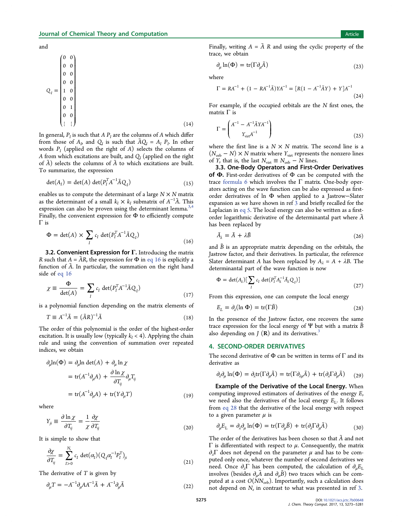<span id="page-2-0"></span>and

$$
Q_{I} = \begin{pmatrix} 0 & 0 \\ 0 & 0 \\ 0 & 0 \\ 0 & 0 \\ 1 & 0 \\ 0 & 0 \\ 0 & 1 \\ 0 & 0 \\ \vdots & \vdots \end{pmatrix}
$$
 (14)

In general,  $P_i$  is such that A  $P_i$  are the columns of A which differ from those of  $A<sub>p</sub>$  and  $Q<sub>I</sub>$  is such that  $\tilde{A}Q<sub>I</sub> = A<sub>I</sub> P<sub>I</sub>$ . In other words  $P_I$  (applied on the right of A) selects the columns of A from which excitations are built, and  $Q_i$  (applied on the right of  $\tilde{A}$ ) selects the columns of  $\tilde{A}$  to which excitations are built. To summarize, the expression

$$
\det(A_I) = \det(A) \det(P_I^T A^{-1} \tilde{A} Q_I)
$$
\n(15)

enables us to compute the determinant of a large  $N \times N$  matrix as the determinant of a small  $k_I \times k_I$  submatrix of  $A^{-1}\tilde{A}$ . This expression can also be proven using the determinant lemma.<sup>[3](#page-7-0),[4](#page-7-0)</sup> Finally, the convenient expression for  $\Phi$  to efficiently compute Γ is

$$
\Phi = \det(A) \times \sum_{I} c_{I} \det(P_{I}^{T} A^{-1} \tilde{A} Q_{I})
$$
\n(16)

3.2. Convenient Expression for  $\Gamma$ . Introducing the matrix R such that  $A = \tilde{A}R$ , the expression for  $\Phi$  in eq 16 is explicitly a function of  $\tilde{A}$ . In particular, the summation on the right hand side of eq 16

$$
\chi \equiv \frac{\Phi}{\det(A)} = \sum_{I} c_{I} \det(P_{I}^{T} A^{-1} \tilde{A} Q_{I})
$$
\n(17)

is a polynomial function depending on the matrix elements of

$$
T \equiv A^{-1}\tilde{A} = (\tilde{A}R)^{-1}\tilde{A}
$$
\n(18)

The order of this polynomial is the order of the highest-order excitation. It is usually low (typically  $k_I < 4$ ). Applying the chain rule and using the convention of summation over repeated indices, we obtain

$$
\partial_{\mu} \ln(\Phi) = \partial_{\mu} \ln \det(A) + \partial_{\mu} \ln \chi
$$
  
= tr(A<sup>-1</sup> \partial\_{\mu} A) +  $\frac{\partial \ln \chi}{\partial T_{ij}} \partial_{\mu} T_{ij}$   
= tr(A<sup>-1</sup> \partial\_{\mu} A) + tr(Y \partial\_{\mu} T) (19)

where

$$
Y_{ji} \equiv \frac{\partial \ln \chi}{\partial T_{ij}} = \frac{1}{\chi} \frac{\partial \chi}{\partial T_{ij}} \tag{20}
$$

It is simple to show that

$$
\frac{\partial \chi}{\partial T_{ij}} = \sum_{I>0}^{N_c} c_I \det(\alpha_I) (Q_I \alpha_I^{-1} P_I^T)_{ji}
$$
\n(21)

The derivative of  $T$  is given by

$$
\partial_{\mu}T = -A^{-1}\partial_{\mu}AA^{-1}\tilde{A} + A^{-1}\partial_{\mu}\tilde{A}
$$
\n(22)

Finally, writing  $A = \tilde{A} R$  and using the cyclic property of the trace, we obtain

$$
\partial_{\mu} \ln(\Phi) = \text{tr}(\Gamma \partial_{\mu} \tilde{A}) \tag{23}
$$

where

$$
\Gamma = RA^{-1} + (1 - RA^{-1}\bar{A})YA^{-1} = [R(1 - A^{-1}\bar{A}Y) + Y]A^{-1}
$$
\n(24)

For example, if the occupied orbitals are the N first ones, the matrix Γ is

$$
\Gamma = \begin{pmatrix} A^{-1} - A^{-1} \tilde{A} Y A^{-1} \\ Y_{\text{virt}} A^{-1} \end{pmatrix} \tag{25}
$$

where the first line is a  $N \times N$  matrix. The second line is a  $(N_{\text{orb}} - N) \times N$  matrix where  $Y_{\text{virt}}$  represents the nonzero lines of Y, that is, the last  $N_{\text{virt}} \equiv N_{\text{orb}} - N$  lines.

3.3. One-Body Operators and First-Order Derivatives of  $\Phi$ . First-order derivatives of  $\Phi$  can be computed with the trace [formula 6](#page-1-0) which involves the  $\Gamma$  matrix. One-body operators acting on the wave function can be also expressed as firstorder derivatives of ln Φ when applied to a Jastrow−Slater expansion as we have shown in ref [3](#page-7-0) and briefly recalled for the Laplacian in [eq 5](#page-1-0). The local energy can also be written as a firstorder logarithmic derivative of the determinantal part where  $\tilde{A}$ has been replaced by

$$
\tilde{A}_{\lambda} = \tilde{A} + \lambda \tilde{B} \tag{26}
$$

and  $\tilde{B}$  is an appropriate matrix depending on the orbitals, the Jastrow factor, and their derivatives. In particular, the reference Slater determinant A has been replaced by  $A_1 = A + \lambda B$ . The determinantal part of the wave function is now

$$
\Phi = \det(A_{\lambda}) \left[ \sum_{I} c_{I} \det(P_{I}^{T} A_{\lambda}^{-1} \tilde{A}_{\lambda} Q_{I}) \right]
$$
\n(27)

From this expression, one can compute the local energy

$$
E_L = \partial_{\lambda} (\ln \Phi) = \text{tr}(\Gamma \tilde{B}) \tag{28}
$$

In the presence of the Jastrow factor, one recovers the same trace expression for the local energy of  $\Psi$  but with a matrix  $\tilde{B}$ also depending on  $J(R)$  and its derivatives.<sup>[3](#page-7-0)</sup>

## 4. SECOND-ORDER DERIVATIVES

The second derivative of  $\Phi$  can be written in terms of  $\Gamma$  and its derivative as

$$
\partial_{\lambda}\partial_{\mu}\ln(\Phi) = \partial_{\lambda}\text{tr}(\Gamma \partial_{\mu}\tilde{A}) = \text{tr}(\Gamma \partial_{\lambda\mu}\tilde{A}) + \text{tr}(\partial_{\lambda}\Gamma \partial_{\mu}\tilde{A}) \qquad (29)
$$

Example of the Derivative of the Local Energy. When computing improved estimators of derivatives of the energy E, we need also the derivatives of the local energy  $E_L$ . It follows from eq 28 that the derivative of the local energy with respect to a given parameter  $\mu$  is

$$
\partial_{\mu} E_{\mathcal{L}} = \partial_{\lambda} \partial_{\mu} \ln(\Phi) = \text{tr}(\Gamma \partial_{\mu} \tilde{B}) + \text{tr}(\partial_{\lambda} \Gamma \partial_{\mu} \tilde{A})
$$
(30)

The order of the derivatives has been chosen so that  $\tilde{A}$  and not  $Γ$  is differentiated with respect to  $μ$ . Consequently, the matrix  $\partial_{\lambda} \Gamma$  does not depend on the parameter  $\mu$  and has to be computed only once, whatever the number of second derivatives we need. Once  $\partial_{\lambda} \Gamma$  has been computed, the calculation of  $\partial_{\mu} E_{\text{L}}$ involves (besides  $\partial_{\mu} \tilde{A}$  and  $\partial_{\mu} \tilde{B}$ ) two traces which can be computed at a cost  $O(NN_{\text{orb}})$ . Importantly, such a calculation does not depend on  $N_e$  in contrast to what was presented in ref [3.](#page-7-0)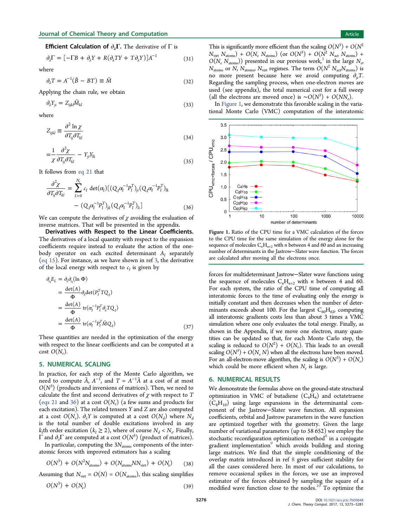<span id="page-3-0"></span>**Efficient Calculation of**  $\partial_{\lambda} \Gamma$ . The derivative of  $\Gamma$  is

$$
\partial_{\lambda} \Gamma = [-\Gamma B + \partial_{\lambda} Y + R(\partial_{\lambda} T Y + T \partial_{\lambda} Y)]A^{-1}
$$
(31)

where

$$
\partial_{\lambda} T = A^{-1} (\tilde{B} - BT) \equiv \tilde{M} \tag{32}
$$

Applying the chain rule, we obtain

$$
\partial_{\lambda} Y_{ji} = Z_{ijkl} \tilde{M}_{kl} \tag{33}
$$

where

$$
Z_{ijkl} \equiv \frac{\partial^2 \ln \chi}{\partial T_{ij} \partial T_{kl}} \tag{34}
$$

$$
=\frac{1}{\chi}\frac{\partial^2 \chi}{\partial T_{ij}\partial T_{kl}}-Y_{ji}Y_{lk}
$$
\n(35)

It follows from [eq 21](#page-2-0) that

$$
\frac{\partial^2 \chi}{\partial T_{ij} \partial T_{kl}} = \sum_{I>0}^{N_e} c_I \det(\alpha_I) [ (Q_I \alpha_I^{-1} P_I^T)_{ji} (Q_I \alpha_I^{-1} P_I^T)_{lk} - (Q_I \alpha_I^{-1} P_I^T)_{jk} (Q_I \alpha_I^{-1} P_I^T)_{li} ]
$$
(36)

We can compute the derivatives of  $\chi$  avoiding the evaluation of inverse matrices. That will be presented in the appendix.

Derivatives with Respect to the Linear Coefficients. The derivatives of a local quantity with respect to the expansion coefficients require instead to evaluate the action of the onebody operator on each excited determinant  $A_I$  separately [\(eq 15\)](#page-2-0). For instance, as we have shown in ref [3,](#page-7-0) the derivative of the local energy with respect to  $c_I$  is given by

$$
\partial_{q}E_{L} = \partial_{\lambda}\partial_{q}(\ln \Phi)
$$
\n
$$
= \frac{\det(A)}{\Phi} \partial_{\lambda} \det(P_{I}^{T} T Q_{I})
$$
\n
$$
= \frac{\det(A)}{\Phi} \operatorname{tr}(\alpha_{I}^{-1} P_{I}^{T} \partial_{\lambda} T Q_{I})
$$
\n
$$
= \frac{\det(A)}{\Phi} \operatorname{tr}(\alpha_{I}^{-1} P_{I}^{T} \tilde{M} Q_{I})
$$
\n(37)

These quantities are needed in the optimization of the energy with respect to the linear coefficients and can be computed at a cost  $O(N_e)$ .

#### 5. NUMERICAL SCALING

In practice, for each step of the Monte Carlo algorithm, we need to compute  $\tilde{A}$ ,  $A^{-1}$ , and  $T = A^{-1}\tilde{A}$  at a cost of at most  $O(N^3)$  (products and inversions of matrices). Then, we need to calculate the first and second derivatives of  $\chi$  with respect to  $T$ [\(eqs 21](#page-2-0) and 36) at a cost  $O(N_e)$  (a few sums and products for each excitation). The related tensors Y and Z are also computed at a cost  $O(N_e)$ .  $\partial_{\lambda} Y$  is computed at a cost  $O(N_d)$  where  $N_d$ is the total number of double excitations involved in any  $k_I$ th order excitation  $(k_I \geq 2)$ , where of course  $N_d < N_e$ . Finally,  $\Gamma$  and  $\partial_{\lambda}\Gamma$  are computed at a cost  $O(N^3)$  (product of matrices).

In particular, computing the  $3N_{\text{atoms}}$  components of the interatomic forces with improved estimators has a scaling

$$
O(N^3) + O(N^2 N_{\text{atoms}}) + O(N_{\text{atoms}} NN_{\text{virt}}) + O(N_e)
$$
 (38)

Assuming that  $N_{\text{virt}} = O(N) = O(N_{\text{atoms}})$ , this scaling simplifies

$$
O(N^3) + O(N_e) \tag{39}
$$

This is significantly more efficient than the scaling  $O(N^3) + O(N^2)$  $N_{\text{virt}}$   $N_{\text{atoms}}$  +  $O(N_e N_{\text{atoms}})$  (or  $O(N^3) + O(N^2 N_{\text{act}} N_{\text{atoms}})$  +  $O(N_e N_{\text{atoms}})$ ) presented in our previous work,<sup>[3](#page-7-0)</sup> in the large  $N_e$ ,  $N_{\text{atoms}}$  or N,  $N_{\text{atoms}}$ ,  $N_{\text{virt}}$  regimes. The term  $O(N^2 N_{\text{act}}N_{\text{atoms}})$  is no more present because here we avoid computing  $\partial_u T$ . Regarding the sampling process, when one-electron moves are used (see appendix), the total numerical cost for a full sweep (all the electrons are moved once) is  $\sim O(N^3) + O(NN_e)$ .

In Figure 1, we demonstrate this favorable scaling in the variational Monte Carlo (VMC) computation of the interatomic



Figure 1. Ratio of the CPU time for a VMC calculation of the forces to the CPU time for the same simulation of the energy alone for the sequence of molecules  $\mathsf{C}_n\mathsf{H}_{n+2}$  with  $n$  between 4 and 60 and an increasing number of determinants in the Jastrow−Slater wave function. The forces are calculated after moving all the electrons once.

forces for multideterminant Jastrow−Slater wave functions using the sequence of molecules  $C_nH_{n+2}$  with *n* between 4 and 60. For each system, the ratio of the CPU time of computing all interatomic forces to the time of evaluating only the energy is initially constant and then decreases when the number of determinants exceeds about 100. For the largest  $C_{60}H_{62}$ , computing all interatomic gradients costs less than about 3 times a VMC simulation where one only evaluates the total energy. Finally, as shown in the Appendix, if we move one electron, many quantities can be updated so that, for each Monte Carlo step, the scaling is reduced to  $O(N^2) + O(N_e)$ . This leads to an overall scaling  $O(N^3) + O(N_e N)$  when all the electrons have been moved. For an all-electron-move algorithm, the scaling is  $O(N^3) + O(N_e)$ which could be more efficient when  $N_e$  is large.

## 6. NUMERICAL RESULTS

We demonstrate the formulas above on the ground-state structural optimization in VMC of butadiene  $(C_4H_6)$  and octatetraene  $(C_8H_{10})$  using large expansions in the determinantal component of the Jastrow−Slater wave function. All expansion coefficients, orbital and Jastrow parameters in the wave function are optimized together with the geometry. Given the large number of variational parameters (up to 58 652) we employ the stochastic reconfiguration optimization method $8$  in a conjugate gradient implementation<sup>[9](#page-7-0)</sup> which avoids building and storing large matrices. We find that the simple conditioning of the overlap matrix introduced in ref [8](#page-7-0) gives sufficient stability for all the cases considered here. In most of our calculations, to remove occasional spikes in the forces, we use an improved estimator of the forces obtained by sampling the square of a modified wave function close to the nodes.<sup>[10](#page-7-0)</sup> To optimize the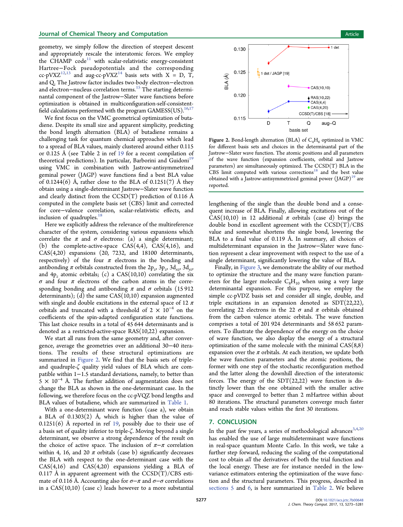geometry, we simply follow the direction of steepest descent and appropriately rescale the interatomic forces. We employ the CHAMP code<sup>[11](#page-8-0)</sup> with scalar-relativistic energy-consistent Hartree−Fock pseudopotentials and the corresponding cc-pVXZ<sup>[12](#page-8-0),[13](#page-8-0)</sup> and aug-cc-pVXZ<sup>[14](#page-8-0)</sup> basis sets with X = D, T, and Q. The Jastrow factor includes two-body electron−electron and electron–nucleus correlation terms.<sup>15</sup> The starting determinantal component of the Jastrow−Slater wave functions before optimization is obtained in multiconfiguration-self-consistent-field calculations performed with the program GAMESS(US).<sup>[16](#page-8-0),[17](#page-8-0)</sup>

We first focus on the VMC geometrical optimization of butadiene. Despite its small size and apparent simplicity, predicting the bond length alternation (BLA) of butadiene remains a challenging task for quantum chemical approaches which lead to a spread of BLA values, mainly clustered around either 0.115 or 0.125 Å (see Table 2 in ref [19](#page-8-0) for a recent compilation of theoretical predictions). In particular, Barborini and Guidoni<sup>[19](#page-8-0)</sup> using VMC in combination with Jastrow-antisymmetrized geminal power (JAGP) wave functions find a best BLA value of 0.1244(6) Å, rather close to the BLA of  $0.1251(7)$  Å they obtain using a single-determinant Jastrow−Slater wave function and clearly distinct from the  $CCSD(T)$  prediction of 0.116 Å computed in the complete basis set (CBS) limit and corrected for core−valence correlation, scalar-relativistic effects, and inclusion of quadruples.<sup>[18](#page-8-0)</sup>

Here we explicitly address the relevance of the multireference character of the system, considering various expansions which correlate the  $\pi$  and  $\sigma$  electrons: (a) a single determinant; (b) the complete-active-space  $CAS(4,4)$ ,  $CAS(4,16)$ , and CAS(4,20) expansions (20, 7232, and 18100 determinants, respectively) of the four  $\pi$  electrons in the bonding and antibonding  $\pi$  orbitals constructed from the 2p<sub>z</sub>, 3p<sub>z</sub>, 3d<sub>xz</sub>, 3d<sub>yz</sub>, and  $4p_z$  atomic orbitals; (c) a CAS(10,10) correlating the six  $\sigma$  and four  $\pi$  electrons of the carbon atoms in the corresponding bonding and antibonding  $\pi$  and  $\sigma$  orbitals (15912 determinants); (d) the same CAS(10,10) expansion augmented with single and double excitations in the external space of 12  $\pi$ orbitals and truncated with a threshold of  $2 \times 10^{-4}$  on the coefficients of the spin-adapted configuration state functions. This last choice results in a total of 45 644 determinants and is denoted as a restricted-active-space RAS(10,22) expansion.

We start all runs from the same geometry and, after convergence, average the geometries over an additional 30−40 iterations. The results of these structural optimizations are summarized in Figure 2. We find that the basis sets of tripleand quadruple-ζ quality yield values of BLA which are compatible within 1−1.5 standard deviations, namely, to better than  $5 \times 10^{-4}$  Å. The further addition of augmentation does not change the BLA as shown in the one-determinant case. In the following, we therefore focus on the cc-pVQZ bond lengths and BLA values of butadiene, which are summarized in [Table 1.](#page-5-0)

With a one-determinant wave function (case a), we obtain a BLA of  $0.1303(2)$  Å, which is higher than the value of 0.1251(6) Å reported in ref [19](#page-8-0), possibly due to their use of a basis set of quality inferior to triple-ζ. Moving beyond a single determinant, we observe a strong dependence of the result on the choice of active space. The inclusion of  $\pi-\pi$  correlation within 4, 16, and 20  $\pi$  orbitals (case b) significantly decreases the BLA with respect to the one-determinant case with the  $CAS(4,16)$  and  $CAS(4,20)$  expansions yielding a BLA of 0.117 Å in apparent agreement with the  $CCSD(T)/CBS$  estimate of 0.116 Å. Accounting also for  $\sigma-\pi$  and  $\sigma-\sigma$  correlations in a  $CAS(10,10)$  (case c) leads however to a more substantial



Figure 2. Bond-length alternation (BLA) of  $C_4H_6$  optimized in VMC for different basis sets and choices in the determinantal part of the Jastrow−Slater wave function. The atomic positions and all parameters of the wave function (expansion coefficients, orbital and Jastrow parameters) are simultaneously optimized. The CCSD(T) BLA in the CBS limit computed with various corrections<sup>[18](#page-8-0)</sup> and the best value obtained with a Jastrow-antisymmetrized geminal power  $(IGGP)^{19}$  $(IGGP)^{19}$  $(IGGP)^{19}$  are reported.

lengthening of the single than the double bond and a consequent increase of BLA. Finally, allowing excitations out of the CAS(10,10) in 12 additional  $\pi$  orbitals (case d) brings the double bond in excellent agreement with the  $CCSD(T)/CBS$ value and somewhat shortens the single bond, lowering the BLA to a final value of 0.119 Å. In summary, all choices of multideterminant expansion in the Jastrow−Slater wave function represent a clear improvement with respect to the use of a single determinant, significantly lowering the value of BLA.

Finally, in [Figure 3](#page-5-0), we demonstrate the ability of our method to optimize the structure and the many wave function parameters for the larger molecule  $C_8H_{10}$  when using a very large determinantal expansion. For this purpose, we employ the simple cc-pVDZ basis set and consider all single, double, and triple excitations in an expansion denoted as SDT(22,22), correlating 22 electrons in the 22  $\sigma$  and  $\pi$  orbitals obtained from the carbon valence atomic orbitals. The wave function comprises a total of 201 924 determinants and 58 652 parameters. To illustrate the dependence of the energy on the choice of wave function, we also display the energy of a structural optimization of the same molecule with the minimal CAS(8,8) expansion over the  $\pi$  orbitals. At each iteration, we update both the wave function parameters and the atomic positions, the former with one step of the stochastic reconfiguration method and the latter along the downhill direction of the interatomic forces. The energy of the  $SDT(22,22)$  wave function is distinctly lower than the one obtained with the smaller active space and converged to better than 2 mHartree within about 80 iterations. The structural parameters converge much faster and reach stable values within the first 30 iterations.

## 7. CONCLUSION

In the past few years, a series of methodological advances  $3,4,20$  $3,4,20$ has enabled the use of large multideterminant wave functions in real-space quantum Monte Carlo. In this work, we take a further step forward, reducing the scaling of the computational cost to obtain all the derivatives of both the trial function and the local energy. These are for instance needed in the lowvariance estimators entering the optimization of the wave function and the structural parameters. This progress, described in [sections 5](#page-3-0) and [6](#page-3-0), is here summarized in [Table 2.](#page-5-0) We believe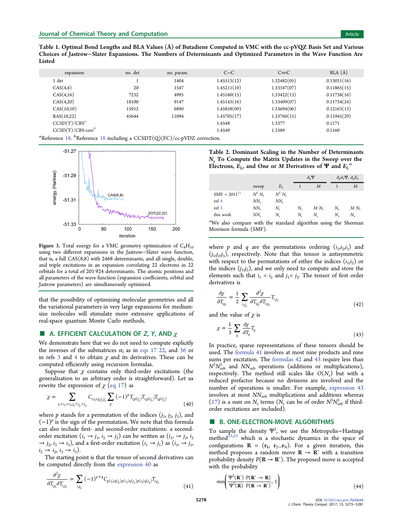<span id="page-5-0"></span>Table 1. Optimal Bond Lengths and BLA Values (Å) of Butadiene Computed in VMC with the cc-pVQZ Basis Set and Various Choices of Jastrow−Slater Expansions. The Numbers of Determinants and Optimized Parameters in the Wave Function Are Listed

| expansion            | no. det | no. param. | $C-C$       | $C = C$     | $BLA (\AA)$ |
|----------------------|---------|------------|-------------|-------------|-------------|
| l det                |         | 1404       | 1.45513(12) | 1.32482(05) | 0.13031(16) |
| CAS(4,4)             | 20      | 1547       | 1.45211(10) | 1.33347(07) | 0.11865(15) |
| CAS(4,16)            | 7232    | 4995       | 1.45160(15) | 1.33422(13) | 0.11738(16) |
| CAS(4,20)            | 18100   | 9147       | 1.45143(16) | 1.33409(07) | 0.11734(24) |
| CAS(10,10)           | 15912   | 6890       | 1.45858(09) | 1.33694(06) | 0.12163(13) |
| RAS(10,22)           | 45644   | 11094      | 1.45705(17) | 1.33760(15) | 0.11945(29) |
| $CCSD(T)/CBS^a$      |         |            | 1.4548      | 1.3377      | 0.1171      |
| $CCSD(T)/CBS-corr^b$ |         |            | 1.4549      | 1.3389      | 0.1160      |
|                      |         |            |             |             |             |

<sup>a</sup>Reference [18.](#page-8-0) <sup>b</sup>Reference [18](#page-8-0) including a CCSDT(Q)(FC)/cc-pVDZ correction.



Figure 3. Total energy for a VMC geometry optimization of  $C_8H_{10}$ using two different expansions in the Jastrow−Slater wave function, that is, a full CAS(8,8) with 2468 determinants, and all single, double, and triple excitations in an expansion correlating 22 electrons in 22 orbitals for a total of 201 924 determinants. The atomic positions and all parameters of the wave function (expansion coefficients, orbital and Jastrow parameters) are simultaneously optimized.

that the possibility of optimizing molecular geometries and all the variational parameters in very large expansions for mediumsize molecules will stimulate more extensive applications of real-space quantum Monte Carlo methods.

## **A. EFFICIENT CALCULATION OF Z, Y, AND**  $\chi$

We demonstrate here that we do not need to compute explicitly the inverses of the submatrices  $\alpha_I$  as in [eqs 17 22](#page-2-0), and [36](#page-3-0) or in refs [3](#page-7-0) and [4](#page-7-0) to obtain  $\chi$  and its derivatives. These can be computed efficiently using recursion formulas.

Suppose that  $\chi$  contains only third-order excitations (the generalization to an arbitrary order is straightforward). Let us rewrite the expression of  $\chi$  ([eq 17\)](#page-2-0) as

$$
\chi = \sum_{i_1 < i_2 < i_3, j_1 < j_2 < j_3} C_{i_1 i_2 i_3 j_1 j_2 j_3} \sum_p (-1)^p T_{i_1 p(j_1)} T_{i_2 p(j_2)} T_{i_3 p(j_3)} \tag{40}
$$

where p stands for a permutation of the indices  $(j_1, j_2, j_3)$ , and  $(-1)^p$  is the sign of the permutation. We note that this formula can also include first- and second-order excitations: a secondorder excitation  $(i_1 \rightarrow j_1, i_2 \rightarrow j_2)$  can be written as  $(i_1 \rightarrow j_2, i_2)$  $\rightarrow$   $j_2,$   $i_3$   $\rightarrow$   $i_3$ ), and a first-order excitation  $(i_1$   $\rightarrow$   $j_1)$  as  $(i_1,$   $\rightarrow$   $j_1,$  $i_2 \to i_2, i_3 \to i_3$ ).

The starting point is that the tensor of second derivatives can be computed directly from the expression 40 as

$$
\frac{\partial^2 \chi}{\partial T_{i,j_1} \partial T_{i,j_2}} = \sum_{i,j_3} (-1)^{p+q} C_{p(i_1)q(j_1)p(i_2)q(j_2)p(i_3)q(j_3)} T_{i,j_3}
$$
\n(41)

Table 2. Dominant Scaling in the Number of Determinants  $N_e$  To Compute the Matrix Updates in the Sweep over the Electrons,  $E_L$ , and One or M Derivatives of  $\Psi$  and  $E_L^{\alpha}$ 

|                   |           |             |         | $\partial_{\mu}\Psi$ |         | $\partial_{\mu}\partial_{\nu}\Psi$ , $\partial_{\mu}E_{\rm L}$ |  |
|-------------------|-----------|-------------|---------|----------------------|---------|----------------------------------------------------------------|--|
|                   | sweep     | $E_{\rm L}$ |         | $\overline{M}$       |         | М                                                              |  |
| $SMF < 2011^{21}$ | $N^3 N_c$ | $N^3 N_c$   |         |                      |         |                                                                |  |
| ref 4             | $NN_{e}$  | $NN_{c}$    |         |                      |         |                                                                |  |
| ref <sub>3</sub>  | $NN_{e}$  | $N_{e}$     | $N_{e}$ | $MN_{s}$             | $N_{e}$ | $MN_{s}$                                                       |  |
| this work         | $NN_{e}$  | N.          | $N_{e}$ | $N_{\rm s}$          | N,      | $N_e$                                                          |  |

<sup>a</sup>We also compare with the standard algorithm using the Sherman Morrison formula (SMF).

where p and q are the permutations ordering  $(i_1,i_2,i_3)$  and  $(j_1, j_2, j_3)$ , respectively. Note that this tensor is antisymmetric with respect to the permutations of either the indices  $(i_1,i_2)$  or the indices  $(j_1, j_2)$ , and we only need to compute and store the elements such that  $i_1 < i_2$  and  $j_1 < j_2$ . The tensor of first order derivatives is

$$
\frac{\partial \chi}{\partial T_{ij_1}} = \frac{1}{2} \sum_{i_{2}j_2} \frac{\partial^2 \chi}{\partial T_{ij_1} \partial T_{ij_2}} T_{ij_2}
$$
\n(42)

and the value of  $\chi$  is

$$
\chi = \frac{1}{3} \sum_{ij} \frac{\partial \chi}{\partial T_{ij}} T_{ij} \tag{43}
$$

In practice, sparse representations of these tensors should be used. The formula 41 involves at most nine products and nine sums per excitation. The formulas 42 and 43 require less than  $N^2 N_{\rm orb}^2$  and  $NN_{\rm orb}$  operations (additions or multiplications), respectively. The method still scales like  $O(N_e)$  but with a reduced prefactor because no divisions are involved and the number of operations is smaller. For example, expression 43 involves at most  $NN_{\rm orb}$  multiplications and additions whereas [\(17\)](#page-2-0) is a sum on  $N_e$  terms ( $N_e$  can be of order  $N^3 N_{\text{orb}}^3$  if thirdorder excitations are included).

## ■ B. ONE-ELECTRON-MOVE ALGORITHMS

To sample the density  $\Psi^2$ , we use the Metropolis–Hastings method<sup>[22,23](#page-8-0)</sup> which is a stochastic dynamics in the space of configurations  $\mathbf{R} = (\mathbf{r}_1, \mathbf{r}_2 ... \mathbf{r}_N)$ . For a given iteration, this method proposes a random move  $R \rightarrow R'$  with a transition probability density  $P(\mathbf{R} \to \mathbf{R}')$ . The proposed move is accepted with the probability

$$
\min\left(\frac{\Psi^2(\mathbf{R}')}{\Psi^2(\mathbf{R})}\frac{P(\mathbf{R}'\to\mathbf{R})}{P(\mathbf{R}\to\mathbf{R}')},1\right)
$$
(44)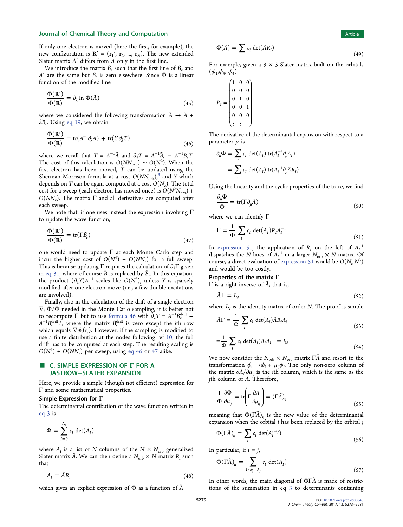## <span id="page-6-0"></span>Journal of Chemical Theory and Computation Article 30 and 30 and 30 and 30 and 30 and 30 and 30 and 30 and 30 and 30 and 30 and 30 and 30 and 30 and 30 and 30 and 30 and 30 and 30 and 30 and 30 and 30 and 30 and 30 and 30

If only one electron is moved (here the first, for example), the new configuration is  $\mathbf{R}' = (\mathbf{r}_1', \mathbf{r}_2, ..., \mathbf{r}_N)$ . The new extended Slater matrix  $\tilde{A}'$  differs from  $\tilde{A}$  only in the first line.

We introduce the matrix  $\tilde{B}_e$  such that the first line of  $\tilde{B}_e$  and  $\tilde{A}'$  are the same but  $\tilde{B}_e$  is zero elsewhere. Since  $\Phi$  is a linear function of the modified line

$$
\frac{\Phi(\mathbf{R}')}{\Phi(\mathbf{R})} = \partial_{\lambda} \ln \Phi(\tilde{A})
$$
\n(45)

where we considered the following transformation  $\tilde{A} \rightarrow \tilde{A}$  +  $\lambda \tilde{B}_e$ . Using [eq 19](#page-2-0), we obtain

$$
\frac{\Phi(\mathbf{R}')}{\Phi(\mathbf{R})} = \text{tr}(A^{-1}\partial_{\lambda}A) + \text{tr}(Y\partial_{\lambda}T)
$$
\n(46)

where we recall that  $T = A^{-1}\tilde{A}$  and  $\partial_{\lambda}T = A^{-1}\tilde{B}_{e} - A^{-1}B_{e}T$ . The cost of this calculation is  $O(NN_{\rm orb}) \sim O(N^2)$ . When the first electron has been moved, T can be updated using the Sherman Morrison formula at a cost  $O(NN_{\rm orb})^3$  and Y which depends on T can be again computed at a cost  $O(N_e)$ . The total cost for a sweep (each electron has moved once) is  $O(N^2N_{\rm orb})$  +  $O(NN_e)$ . The matrix  $\Gamma$  and all derivatives are computed after each sweep.

We note that, if one uses instead the expression involving  $\Gamma$ to update the wave function,

$$
\frac{\Phi(\mathbf{R}')}{\Phi(\mathbf{R})} = \text{tr}(\Gamma \tilde{B}_e) \tag{47}
$$

one would need to update Γ at each Monte Carlo step and incur the higher cost of  $O(N^4) + O(NN_e)$  for a full sweep. This is because updating  $\Gamma$  requires the calculation of  $\partial_{\lambda} \Gamma$  given in [eq 31](#page-3-0), where of course  $\tilde{B}$  is replaced by  $\tilde{B}_e$ . In this equation, the product  $(\partial_{\lambda}Y)A^{-1}$  scales like  $O(N^3)$ , unless Y is sparsely modified after one electron move (i.e., a few double excitations are involved).

Finally, also in the calculation of the drift of a single electron  $\nabla_i \Phi/\Phi$  needed in the Monte Carlo sampling, it is better not to recompute  $\Gamma$  but to use formula 46 with  $\partial_{\lambda}T = A^{-1}\tilde{B}_{e}^{\text{drift}}$  –  $A^{-1}B_e^{\text{drift}}T$ , where the matrix  $\tilde{B}_e^{\text{drift}}$  is zero except the *i*th row which equals  $\nabla \phi_j(\mathbf{r}_i)$ . However, if the sampling is modified to use a finite distribution at the nodes following ref [10](#page-7-0), the full drift has to be computed at each step. The resulting scaling is  $O(N^4) + O(NN_e)$  per sweep, using eq 46 or 47 alike.

## C. SIMPLE EXPRESSION OF Γ FOR A JASTROW−SLATER EXPANSION

Here, we provide a simple (though not efficient) expression for Γ and some mathematical properties.

## Simple Expression for Γ

The determinantal contribution of the wave function written in [eq 3](#page-0-0) is

$$
\Phi = \sum_{I=0}^{N_e} c_I \, \det(A_I)
$$

where  $A_I$  is a list of N columns of the  $N \times N_{\text{orb}}$  generalized Slater matrix  $\tilde{A}$ . We can then define a  $N_{\text{orb}} \times N$  matrix  $R_I$  such that

$$
A_I = \tilde{A} R_I \tag{48}
$$

which gives an explicit expression of  $\Phi$  as a function of  $\tilde{A}$ 

$$
\Phi(\tilde{A}) = \sum_{I} c_{I} \det(\tilde{A}R_{I})
$$
\n(49)

For example, given a  $3 \times 3$  Slater matrix built on the orbitals  $(\phi_1, \phi_2, \phi_4)$ 

$$
R_I = \begin{pmatrix} 1 & 0 & 0 \\ 0 & 0 & 0 \\ 0 & 1 & 0 \\ 0 & 0 & 1 \\ 0 & 0 & 0 \\ \vdots & \vdots \end{pmatrix}
$$

The derivative of the determinantal expansion with respect to a parameter  $\mu$  is

$$
\partial_{\mu} \Phi = \sum_{I} c_{I} \det(A_{I}) \operatorname{tr}(A_{I}^{-1} \partial_{\mu} A_{I})
$$
  
= 
$$
\sum_{I} c_{I} \det(A_{I}) \operatorname{tr}(A_{I}^{-1} \partial_{\mu} \tilde{A} R_{I})
$$

Using the linearity and the cyclic properties of the trace, we find

$$
\frac{\partial_{\mu}\Phi}{\Phi} = \text{tr}(\Gamma \partial_{\mu}\tilde{A})
$$
\n(50)

where we can identify Γ

$$
\Gamma = \frac{1}{\Phi} \sum_{I} c_I \det(A_I) R_I A_I^{-1}
$$
\n(51)

In expression 51, the application of  $R_I$  on the left of  $A_I^{-1}$ dispatches the N lines of  $A_I^{-1}$  in a larger  $N_{\text{orb}} \times N$  matrix. Of course, a direct evaluation of expression 51 would be  $O(N_e N^3)$ and would be too costly.

### Properties of the matrix Γ

Γ is a right inverse of  $A$ , that is,

$$
\tilde{A}\Gamma = I_N \tag{52}
$$

where  $I_N$  is the identity matrix of order N. The proof is simple

$$
\tilde{A}\Gamma = \frac{1}{\Phi} \sum_{I} c_{I} \det(A_{I}) \tilde{A} R_{I} A_{I}^{-1}
$$
\n(53)

$$
=\frac{1}{\Phi} \sum_{I} c_{I} \det(A_{I}) A_{I} A_{I}^{-1} = I_{N}
$$
\n(54)

We now consider the  $N_{\text{orb}} \times N_{\text{orb}}$  matrix  $\overrightarrow{IA}$  and resort to the transformation  $\phi_i \rightarrow \phi_i + \mu_{ij} \phi_j$ . The only non-zero column of the matrix  $\partial \tilde{A}/\partial \mu_{ij}$  is the *i*th column, which is the same as the jth column of Ã. Therefore,

$$
\frac{1}{\Phi} \frac{\partial \Phi}{\partial \mu_{ij}} = \text{tr}\left(\Gamma \frac{\partial \tilde{A}}{\partial \mu_{ij}}\right) = (\Gamma \tilde{A})_{ij}
$$
\n(55)

meaning that  $\Phi(\Gamma\tilde A)_{ij}$  is the new value of the determinantal expansion when the orbital  $i$  has been replaced by the orbital  $j$ 

$$
\Phi(\Gamma \tilde{A})_{ij} = \sum_{I} c_{I} \det(A_{I}^{i \to j}) \tag{56}
$$

In particular, if  $i = j$ ,

$$
\Phi(\Gamma \tilde{A})_{ii} = \sum_{I/\phi_i \in A_I} c_I \det(A_I) \tag{57}
$$

In other words, the main diagonal of  $\Phi\Gamma\tilde{A}$  is made of restrictions of the summation in eq [3](#page-0-0) to determinants containing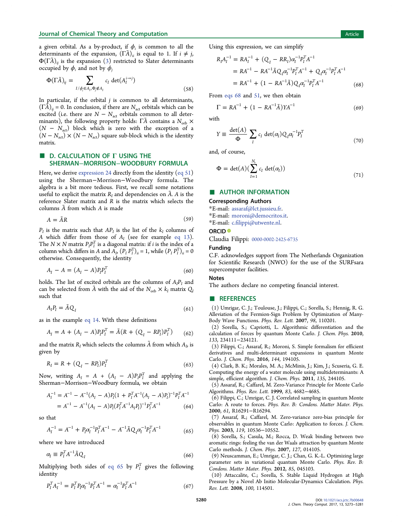<span id="page-7-0"></span>a given orbital. As a by-product, if  $\phi_i$  is common to all the determinants of the expansion,  $(\Gamma \tilde{A})_{ii}$  is equal to 1. If  $i \neq j$ ,  $\Phi(\Gamma\tilde{A})_{ij}$  is the expansion  $(3)$  restricted to Slater determinants occupied by  $\phi_i$  and not by  $\phi_i$ 

$$
\Phi(\Gamma \tilde{A})_{ij} = \sum_{I/\phi_i \in A_I, \Phi_j \notin A_I} c_I \det(A_I^{i \to j})
$$
\n(58)

In particular, if the orbital  $j$  is common to all determinants,  $(\Gamma \tilde{A})_{ij} = 0$ . In conclusion, if there are  $N_{\text{act}}$  orbitals which can be excited (i.e. there are  $N - N_{\text{act}}$  orbitals common to all determinants), the following property holds:  $\tilde{\Gamma}$  contains a  $N_{\text{orb}} \times$  $(N - N<sub>act</sub>)$  block which is zero with the exception of a  $(N - N<sub>act</sub>) \times (N - N<sub>act</sub>)$  square sub-block which is the identity matrix.

## **D. CALCULATION OF Γ USING THE** SHERMAN−MORRISON−WOODBURY FORMULA

Here, we derive [expression 24](#page-2-0) directly from the identity ([eq 51\)](#page-6-0) using the Sherman−Morrison−Woodbury formula. The algebra is a bit more tedious. First, we recall some notations useful to explicit the matrix  $R_I$  and dependencies on  $\tilde{A}$ . A is the reference Slater matrix and R is the matrix which selects the columns  $\tilde{A}$  from which  $A$  is made

$$
A = \tilde{A}R \tag{59}
$$

 $P_I$  is the matrix such that  $AP_I$  is the list of the  $k_I$  columns of A which differ from those of  $A_I$  (see for example [eq 13\)](#page-1-0). The  $N \times N$  matrix  $P_I P_I^T$  is a diagonal matrix: if *i* is the index of a column which differs in A and  $\overline{A}_I$ ,  $(P_I P_I^T)_{ii} = 1$ , while  $(P_I P_I^T)_{ii} = 0$ otherwise. Consequently, the identity

$$
A_I - A = (A_I - A)P_I P_I^T
$$
\n(60)

holds. The list of excited orbitals are the columns of  $A_I P_I$  and can be selected from A with the aid of the  $N_{\text{orb}} \times k_I$  matrix  $Q_I$ such that

$$
A_{I}P_{I} = \tilde{A}Q_{I} \tag{61}
$$

as in the example [eq 14](#page-2-0). With these definitions

$$
A_I = A + (A_I - A)P_I P_I^T = \tilde{A}(R + (Q_I - RP_I)P_I^T)
$$
 (62)

and the matrix  $R_I$  which selects the columns  $\tilde{A}$  from which  $A_I$ , is given by

$$
R_I = R + (Q_I - RP_I)P_I^T
$$
\n(63)

Now, writing  $A_I = A + (A_I - A)P_I P_I^T$  and applying the Sherman−Morrison−Woodbury formula, we obtain

$$
A_I^{-1} = A^{-1} - A^{-1}(A_I - A)P_I(1 + P_I^T A^{-1}(A_I - A)P_I)^{-1} P_I^T A^{-1}
$$
  
=  $A^{-1} - A^{-1}(A_I - A)P_I(P_I^T A^{-1}A_I P_I)^{-1} P_I^T A^{-1}$  (64)

so that

$$
A_I^{-1} = A^{-1} + P_I \alpha_I^{-1} P_I^T A^{-1} - A^{-1} \tilde{A} Q_I \alpha_I^{-1} P_I^T A^{-1}
$$
 (65)

where we have introduced

$$
\alpha_I \equiv P_I^T A^{-1} \tilde{A} Q_I \tag{66}
$$

Multiplying both sides of eq 65 by  $P_I^{\rm T}$  gives the following identity

$$
P_I^T A_I^{-1} = P_I^T P_I \alpha_I^{-1} P_I^T A^{-1} = \alpha_I^{-1} P_I^T A^{-1}
$$
\n(67)

Using this expression, we can simplify

$$
R_I A_I^{-1} = R A_I^{-1} + (Q_I - R R_I) \alpha_I^{-1} P_I^T A^{-1}
$$
  
=  $R A^{-1} - R A^{-1} \tilde{A} Q_I \alpha_I^{-1} P_I^T A^{-1} + Q_I \alpha_I^{-1} P_I^T A^{-1}$   
=  $R A^{-1} + (1 - R A^{-1} \tilde{A}) Q_I \alpha_I^{-1} P_I^T A^{-1}$  (68)

From eqs 68 and [51,](#page-6-0) we then obtain

$$
\Gamma = RA^{-1} + (1 - RA^{-1}\tilde{A})YA^{-1}
$$
 (69)

with

$$
Y \equiv \frac{\det(A)}{\Phi} \sum_{I} c_{I} \det(\alpha_{I}) Q_{I} \alpha_{I}^{-1} P_{I}^{T}
$$
\n(70)

and, of course,

$$
\Phi = \det(A) \left( \sum_{I=1}^{N_e} c_I \, \det(\alpha_I) \right) \tag{71}
$$

## ■ AUTHOR INFORMATION

#### Corresponding Authors

\*E-mail: [assaraf@lct.jussieu.fr.](mailto:assaraf@lct.jussieu.fr)

\*E-mail: [moroni@democritos.it](mailto:moroni@democritos.it).

\*E-mail: c.fi[lippi@utwente.nl](mailto:c.filippi@utwente.nl).

## ORCID<sup>®</sup>

Claudia Filippi: [0000-0002-2425-6735](http://orcid.org/0000-0002-2425-6735)

#### Funding

C.F. acknowledges support from The Netherlands Organization for Scientific Research (NWO) for the use of the SURFsara supercomputer facilities.

#### **Notes**

The authors declare no competing financial interest.

#### ■ REFERENCES

(1) Umrigar, C. J.; Toulouse, J.; Filippi, C.; Sorella, S.; Hennig, R. G. Alleviation of the Fermion-Sign Problem by Optimization of Many-Body Wave Functions. Phys. Rev. Lett. 2007, 98, 110201.

(2) Sorella, S.; Capriotti, L. Algorithmic differentiation and the calculation of forces by quantum Monte Carlo. J. Chem. Phys. 2010, 133, 234111−234121.

(3) Filippi, C.; Assaraf, R.; Moroni, S. Simple formalism for efficient derivatives and multi-determinant expansions in quantum Monte Carlo. J. Chem. Phys. 2016, 144, 194105.

(4) Clark, B. K.; Morales, M. A.; McMinis, J.; Kim, J.; Scuseria, G. E. Computing the energy of a water molecule using multideterminants: A simple, efficient algorithm. J. Chem. Phys. 2011, 135, 244105.

(5) Assaraf, R.; Caffarel, M. Zero-Variance Principle for Monte Carlo Algorithms. Phys. Rev. Lett. 1999, 83, 4682−4685.

(6) Filippi, C.; Umrigar, C. J. Correlated sampling in quantum Monte Carlo: A route to forces. Phys. Rev. B: Condens. Matter Mater. Phys. 2000, 61, R16291−R16294.

(7) Assaraf, R.; Caffarel, M. Zero-variance zero-bias principle for observables in quantum Monte Carlo: Application to forces. J. Chem. Phys. 2003, 119, 10536−10552.

(8) Sorella, S.; Casula, M.; Rocca, D. Weak binding between two aromatic rings: feeling the van der Waals attraction by quantum Monte Carlo methods. J. Chem. Phys. 2007, 127, 014105.

(9) Neuscamman, E.; Umrigar, C. J.; Chan, G. K.-L. Optimizing large parameter sets in variational quantum Monte Carlo. Phys. Rev. B: Condens. Matter Mater. Phys. 2012, 85, 045103.

(10) Attaccalite, C.; Sorella, S. Stable Liquid Hydrogen at High Pressure by a Novel Ab Initio Molecular-Dynamics Calculation. Phys. Rev. Lett. 2008, 100, 114501.